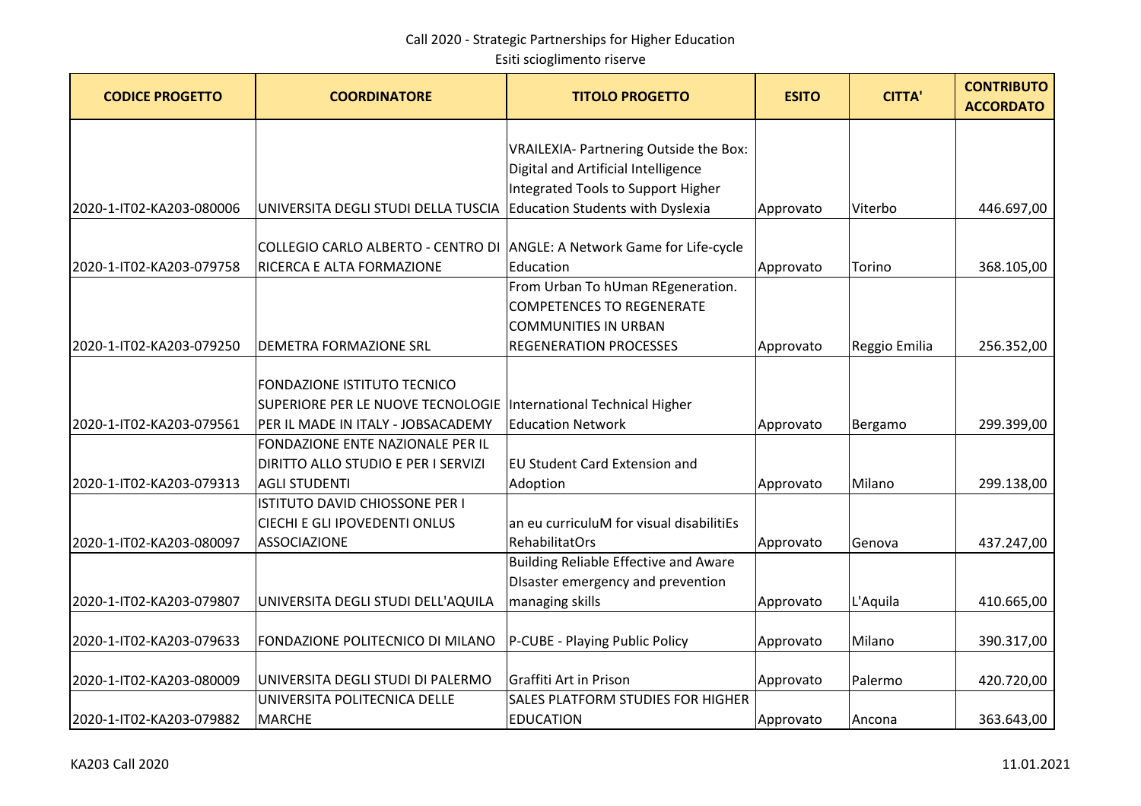| <b>CODICE PROGETTO</b>   | <b>COORDINATORE</b>                                                     | <b>TITOLO PROGETTO</b>                       | <b>ESITO</b> | <b>CITTA'</b> | <b>CONTRIBUTO</b><br><b>ACCORDATO</b> |
|--------------------------|-------------------------------------------------------------------------|----------------------------------------------|--------------|---------------|---------------------------------------|
|                          |                                                                         |                                              |              |               |                                       |
|                          |                                                                         | VRAILEXIA- Partnering Outside the Box:       |              |               |                                       |
|                          |                                                                         | Digital and Artificial Intelligence          |              |               |                                       |
|                          |                                                                         | Integrated Tools to Support Higher           |              |               |                                       |
| 2020-1-IT02-KA203-080006 | UNIVERSITA DEGLI STUDI DELLA TUSCIA                                     | Education Students with Dyslexia             | Approvato    | Viterbo       | 446.697,00                            |
|                          | COLLEGIO CARLO ALBERTO - CENTRO DI ANGLE: A Network Game for Life-cycle |                                              |              |               |                                       |
| 2020-1-IT02-KA203-079758 | RICERCA E ALTA FORMAZIONE                                               | Education                                    | Approvato    | Torino        | 368.105,00                            |
|                          |                                                                         | From Urban To hUman REgeneration.            |              |               |                                       |
|                          |                                                                         | <b>COMPETENCES TO REGENERATE</b>             |              |               |                                       |
|                          |                                                                         | <b>COMMUNITIES IN URBAN</b>                  |              |               |                                       |
| 2020-1-IT02-KA203-079250 | <b>DEMETRA FORMAZIONE SRL</b>                                           | <b>REGENERATION PROCESSES</b>                | Approvato    | Reggio Emilia | 256.352,00                            |
|                          |                                                                         |                                              |              |               |                                       |
|                          | <b>FONDAZIONE ISTITUTO TECNICO</b>                                      |                                              |              |               |                                       |
|                          | SUPERIORE PER LE NUOVE TECNOLOGIE  International Technical Higher       |                                              |              |               |                                       |
| 2020-1-IT02-KA203-079561 | PER IL MADE IN ITALY - JOBSACADEMY                                      | <b>Education Network</b>                     | Approvato    | Bergamo       | 299.399,00                            |
|                          | FONDAZIONE ENTE NAZIONALE PER IL                                        |                                              |              |               |                                       |
|                          | DIRITTO ALLO STUDIO E PER I SERVIZI                                     | <b>EU Student Card Extension and</b>         |              |               |                                       |
| 2020-1-IT02-KA203-079313 | <b>AGLI STUDENTI</b>                                                    | Adoption                                     | Approvato    | Milano        | 299.138,00                            |
|                          | ISTITUTO DAVID CHIOSSONE PER I                                          |                                              |              |               |                                       |
|                          | CIECHI E GLI IPOVEDENTI ONLUS                                           | an eu curriculuM for visual disabilitiEs     |              |               |                                       |
| 2020-1-IT02-KA203-080097 | <b>ASSOCIAZIONE</b>                                                     | <b>RehabilitatOrs</b>                        | Approvato    | Genova        | 437.247,00                            |
|                          |                                                                         | <b>Building Reliable Effective and Aware</b> |              |               |                                       |
|                          |                                                                         | Disaster emergency and prevention            |              |               |                                       |
| 2020-1-IT02-KA203-079807 | UNIVERSITA DEGLI STUDI DELL'AQUILA                                      | managing skills                              | Approvato    | L'Aquila      | 410.665,00                            |
|                          |                                                                         |                                              |              |               |                                       |
| 2020-1-IT02-KA203-079633 | FONDAZIONE POLITECNICO DI MILANO                                        | P-CUBE - Playing Public Policy               | Approvato    | Milano        | 390.317,00                            |
|                          |                                                                         |                                              |              |               |                                       |
| 2020-1-IT02-KA203-080009 | UNIVERSITA DEGLI STUDI DI PALERMO                                       | Graffiti Art in Prison                       | Approvato    | Palermo       | 420.720,00                            |
|                          | UNIVERSITA POLITECNICA DELLE                                            | SALES PLATFORM STUDIES FOR HIGHER            |              |               |                                       |
| 2020-1-IT02-KA203-079882 | <b>MARCHE</b>                                                           | <b>EDUCATION</b>                             | Approvato    | Ancona        | 363.643,00                            |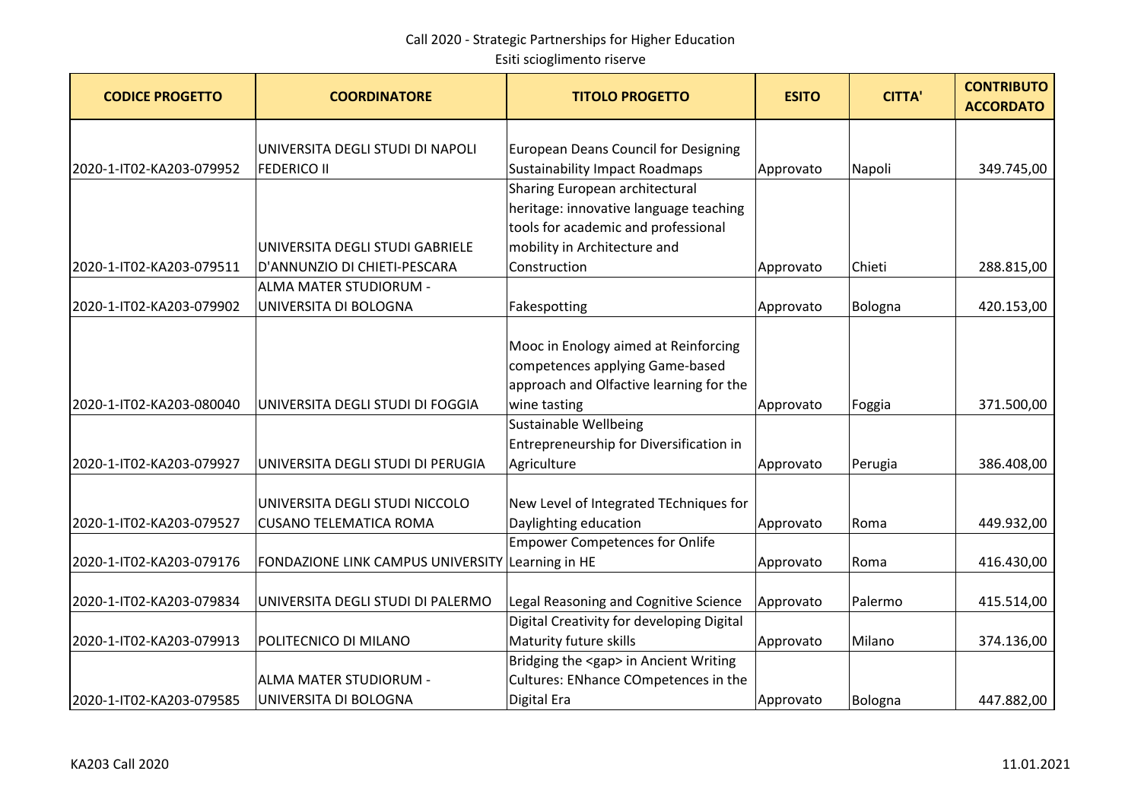| <b>CODICE PROGETTO</b>   | <b>COORDINATORE</b>                              | <b>TITOLO PROGETTO</b>                      | <b>ESITO</b> | <b>CITTA'</b> | <b>CONTRIBUTO</b><br><b>ACCORDATO</b> |
|--------------------------|--------------------------------------------------|---------------------------------------------|--------------|---------------|---------------------------------------|
|                          |                                                  |                                             |              |               |                                       |
|                          | UNIVERSITA DEGLI STUDI DI NAPOLI                 | <b>European Deans Council for Designing</b> |              |               |                                       |
| 2020-1-IT02-KA203-079952 | <b>FEDERICO II</b>                               | <b>Sustainability Impact Roadmaps</b>       | Approvato    | Napoli        | 349.745,00                            |
|                          |                                                  | Sharing European architectural              |              |               |                                       |
|                          |                                                  | heritage: innovative language teaching      |              |               |                                       |
|                          |                                                  | tools for academic and professional         |              |               |                                       |
|                          | UNIVERSITA DEGLI STUDI GABRIELE                  | mobility in Architecture and                |              |               |                                       |
| 2020-1-IT02-KA203-079511 | D'ANNUNZIO DI CHIETI-PESCARA                     | Construction                                | Approvato    | Chieti        | 288.815,00                            |
|                          | ALMA MATER STUDIORUM -                           |                                             |              |               |                                       |
| 2020-1-IT02-KA203-079902 | UNIVERSITA DI BOLOGNA                            | Fakespotting                                | Approvato    | Bologna       | 420.153,00                            |
|                          |                                                  |                                             |              |               |                                       |
|                          |                                                  | Mooc in Enology aimed at Reinforcing        |              |               |                                       |
|                          |                                                  | competences applying Game-based             |              |               |                                       |
|                          |                                                  | approach and Olfactive learning for the     |              |               |                                       |
| 2020-1-IT02-KA203-080040 | UNIVERSITA DEGLI STUDI DI FOGGIA                 | wine tasting                                | Approvato    | Foggia        | 371.500,00                            |
|                          |                                                  | <b>Sustainable Wellbeing</b>                |              |               |                                       |
|                          |                                                  | Entrepreneurship for Diversification in     |              |               |                                       |
| 2020-1-IT02-KA203-079927 | UNIVERSITA DEGLI STUDI DI PERUGIA                | Agriculture                                 | Approvato    | Perugia       | 386.408,00                            |
|                          |                                                  |                                             |              |               |                                       |
|                          | UNIVERSITA DEGLI STUDI NICCOLO                   | New Level of Integrated TEchniques for      |              |               |                                       |
| 2020-1-IT02-KA203-079527 | <b>CUSANO TELEMATICA ROMA</b>                    | Daylighting education                       | Approvato    | Roma          | 449.932,00                            |
|                          |                                                  | <b>Empower Competences for Onlife</b>       |              |               |                                       |
| 2020-1-IT02-KA203-079176 | FONDAZIONE LINK CAMPUS UNIVERSITY Learning in HE |                                             | Approvato    | Roma          | 416.430,00                            |
|                          |                                                  |                                             |              |               |                                       |
| 2020-1-IT02-KA203-079834 | UNIVERSITA DEGLI STUDI DI PALERMO                | Legal Reasoning and Cognitive Science       | Approvato    | Palermo       | 415.514,00                            |
|                          |                                                  | Digital Creativity for developing Digital   |              |               |                                       |
| 2020-1-IT02-KA203-079913 | POLITECNICO DI MILANO                            | Maturity future skills                      | Approvato    | Milano        | 374.136,00                            |
|                          |                                                  | Bridging the <gap> in Ancient Writing</gap> |              |               |                                       |
|                          | ALMA MATER STUDIORUM -                           | Cultures: ENhance COmpetences in the        |              |               |                                       |
| 2020-1-IT02-KA203-079585 | UNIVERSITA DI BOLOGNA                            | Digital Era                                 | Approvato    | Bologna       | 447.882,00                            |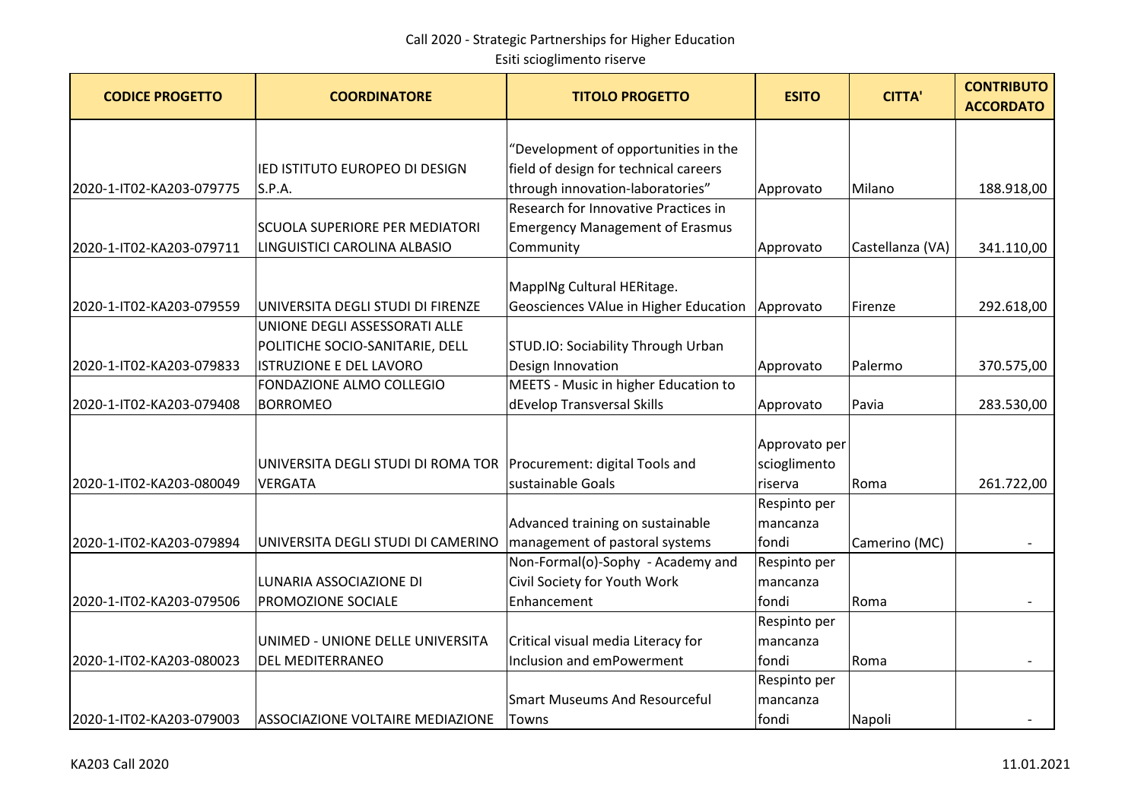| <b>CODICE PROGETTO</b>   | <b>COORDINATORE</b>                   | <b>TITOLO PROGETTO</b>                          | <b>ESITO</b>  | <b>CITTA'</b>    | <b>CONTRIBUTO</b><br><b>ACCORDATO</b> |
|--------------------------|---------------------------------------|-------------------------------------------------|---------------|------------------|---------------------------------------|
|                          |                                       |                                                 |               |                  |                                       |
|                          |                                       | "Development of opportunities in the            |               |                  |                                       |
|                          | IED ISTITUTO EUROPEO DI DESIGN        | field of design for technical careers           |               |                  |                                       |
| 2020-1-IT02-KA203-079775 | S.P.A.                                | through innovation-laboratories"                | Approvato     | Milano           | 188.918,00                            |
|                          |                                       | Research for Innovative Practices in            |               |                  |                                       |
|                          | <b>SCUOLA SUPERIORE PER MEDIATORI</b> | <b>Emergency Management of Erasmus</b>          |               |                  |                                       |
| 2020-1-IT02-KA203-079711 | LINGUISTICI CAROLINA ALBASIO          | Community                                       | Approvato     | Castellanza (VA) | 341.110,00                            |
|                          |                                       |                                                 |               |                  |                                       |
|                          |                                       | MappINg Cultural HERitage.                      |               |                  |                                       |
| 2020-1-IT02-KA203-079559 | UNIVERSITA DEGLI STUDI DI FIRENZE     | Geosciences VAlue in Higher Education Approvato |               | Firenze          | 292.618,00                            |
|                          | UNIONE DEGLI ASSESSORATI ALLE         |                                                 |               |                  |                                       |
|                          | POLITICHE SOCIO-SANITARIE, DELL       | STUD.IO: Sociability Through Urban              |               |                  |                                       |
| 2020-1-IT02-KA203-079833 | <b>ISTRUZIONE E DEL LAVORO</b>        | Design Innovation                               | Approvato     | Palermo          | 370.575,00                            |
|                          | FONDAZIONE ALMO COLLEGIO              | MEETS - Music in higher Education to            |               |                  |                                       |
| 2020-1-IT02-KA203-079408 | <b>BORROMEO</b>                       | dEvelop Transversal Skills                      | Approvato     | Pavia            | 283.530,00                            |
|                          |                                       |                                                 |               |                  |                                       |
|                          |                                       |                                                 | Approvato per |                  |                                       |
|                          | UNIVERSITA DEGLI STUDI DI ROMA TOR    | Procurement: digital Tools and                  | scioglimento  |                  |                                       |
| 2020-1-IT02-KA203-080049 | <b>VERGATA</b>                        | sustainable Goals                               | riserva       | Roma             | 261.722,00                            |
|                          |                                       |                                                 | Respinto per  |                  |                                       |
|                          |                                       | Advanced training on sustainable                | mancanza      |                  |                                       |
| 2020-1-IT02-KA203-079894 | UNIVERSITA DEGLI STUDI DI CAMERINO    | management of pastoral systems                  | fondi         | Camerino (MC)    |                                       |
|                          |                                       | Non-Formal(o)-Sophy - Academy and               | Respinto per  |                  |                                       |
|                          | LUNARIA ASSOCIAZIONE DI               | Civil Society for Youth Work                    | mancanza      |                  |                                       |
| 2020-1-IT02-KA203-079506 | PROMOZIONE SOCIALE                    | Enhancement                                     | fondi         | Roma             |                                       |
|                          |                                       |                                                 | Respinto per  |                  |                                       |
|                          | UNIMED - UNIONE DELLE UNIVERSITA      | Critical visual media Literacy for              | mancanza      |                  |                                       |
| 2020-1-IT02-KA203-080023 | <b>DEL MEDITERRANEO</b>               | Inclusion and emPowerment                       | fondi         | Roma             |                                       |
|                          |                                       |                                                 | Respinto per  |                  |                                       |
|                          |                                       | <b>Smart Museums And Resourceful</b>            | mancanza      |                  |                                       |
| 2020-1-IT02-KA203-079003 | ASSOCIAZIONE VOLTAIRE MEDIAZIONE      | Towns                                           | fondi         | Napoli           |                                       |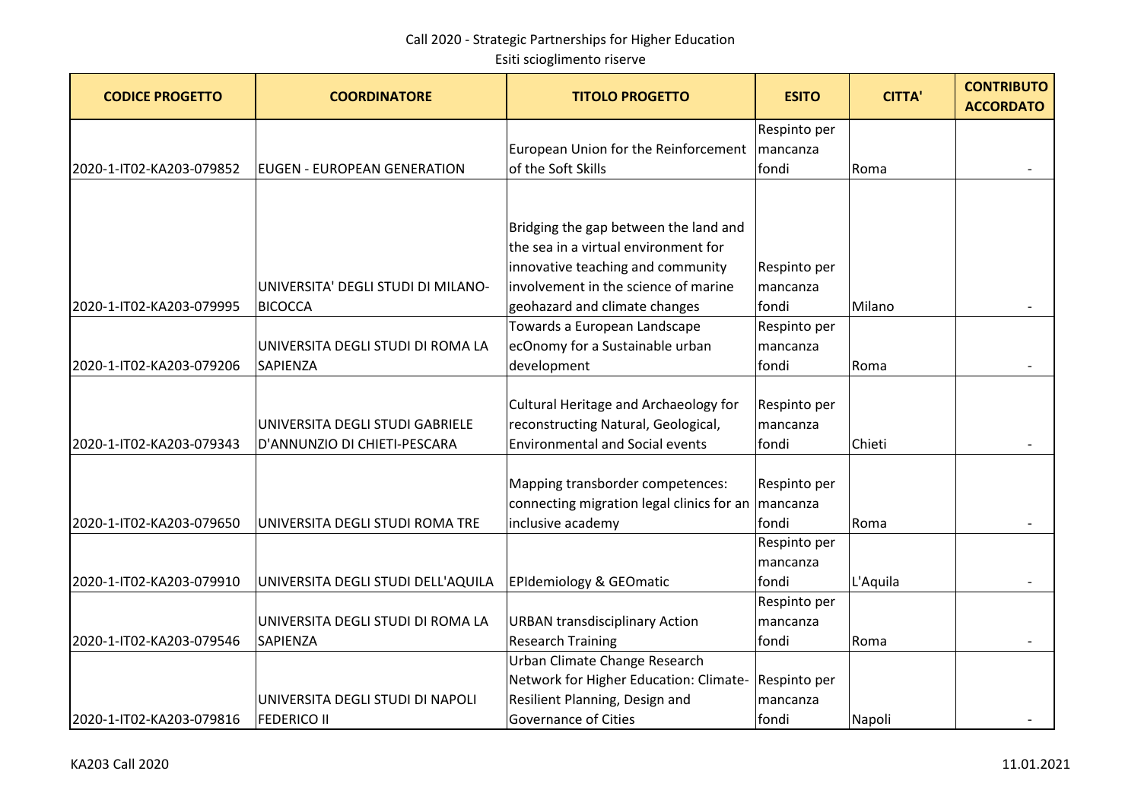| <b>CODICE PROGETTO</b>   | <b>COORDINATORE</b>                | <b>TITOLO PROGETTO</b>                    | <b>ESITO</b> | <b>CITTA'</b> | <b>CONTRIBUTO</b><br><b>ACCORDATO</b> |
|--------------------------|------------------------------------|-------------------------------------------|--------------|---------------|---------------------------------------|
|                          |                                    |                                           | Respinto per |               |                                       |
|                          |                                    | European Union for the Reinforcement      | mancanza     |               |                                       |
| 2020-1-IT02-KA203-079852 | <b>EUGEN - EUROPEAN GENERATION</b> | of the Soft Skills                        | fondi        | Roma          |                                       |
|                          |                                    |                                           |              |               |                                       |
|                          |                                    |                                           |              |               |                                       |
|                          |                                    | Bridging the gap between the land and     |              |               |                                       |
|                          |                                    | the sea in a virtual environment for      |              |               |                                       |
|                          |                                    | innovative teaching and community         | Respinto per |               |                                       |
|                          | UNIVERSITA' DEGLI STUDI DI MILANO- | involvement in the science of marine      | mancanza     |               |                                       |
| 2020-1-IT02-KA203-079995 | <b>BICOCCA</b>                     | geohazard and climate changes             | fondi        | Milano        |                                       |
|                          |                                    | Towards a European Landscape              | Respinto per |               |                                       |
|                          | UNIVERSITA DEGLI STUDI DI ROMA LA  | ecOnomy for a Sustainable urban           | mancanza     |               |                                       |
| 2020-1-IT02-KA203-079206 | SAPIENZA                           | development                               | fondi        | Roma          |                                       |
|                          |                                    |                                           |              |               |                                       |
|                          |                                    | Cultural Heritage and Archaeology for     | Respinto per |               |                                       |
|                          | UNIVERSITA DEGLI STUDI GABRIELE    | reconstructing Natural, Geological,       | mancanza     |               |                                       |
| 2020-1-IT02-KA203-079343 | D'ANNUNZIO DI CHIETI-PESCARA       | <b>Environmental and Social events</b>    | fondi        | Chieti        |                                       |
|                          |                                    |                                           |              |               |                                       |
|                          |                                    | Mapping transborder competences:          | Respinto per |               |                                       |
|                          |                                    | connecting migration legal clinics for an | mancanza     |               |                                       |
| 2020-1-IT02-KA203-079650 | UNIVERSITA DEGLI STUDI ROMA TRE    | inclusive academy                         | fondi        | Roma          | $\overline{\phantom{a}}$              |
|                          |                                    |                                           | Respinto per |               |                                       |
|                          |                                    |                                           | mancanza     |               |                                       |
| 2020-1-IT02-KA203-079910 | UNIVERSITA DEGLI STUDI DELL'AQUILA | <b>EPIdemiology &amp; GEOmatic</b>        | fondi        | L'Aquila      |                                       |
|                          |                                    |                                           | Respinto per |               |                                       |
|                          | UNIVERSITA DEGLI STUDI DI ROMA LA  | <b>URBAN transdisciplinary Action</b>     | mancanza     |               |                                       |
| 2020-1-IT02-KA203-079546 | <b>SAPIENZA</b>                    | <b>Research Training</b>                  | fondi        | Roma          |                                       |
|                          |                                    | Urban Climate Change Research             |              |               |                                       |
|                          |                                    | Network for Higher Education: Climate-    | Respinto per |               |                                       |
|                          | UNIVERSITA DEGLI STUDI DI NAPOLI   | Resilient Planning, Design and            | mancanza     |               |                                       |
| 2020-1-IT02-KA203-079816 | <b>FEDERICO II</b>                 | <b>Governance of Cities</b>               | fondi        | Napoli        |                                       |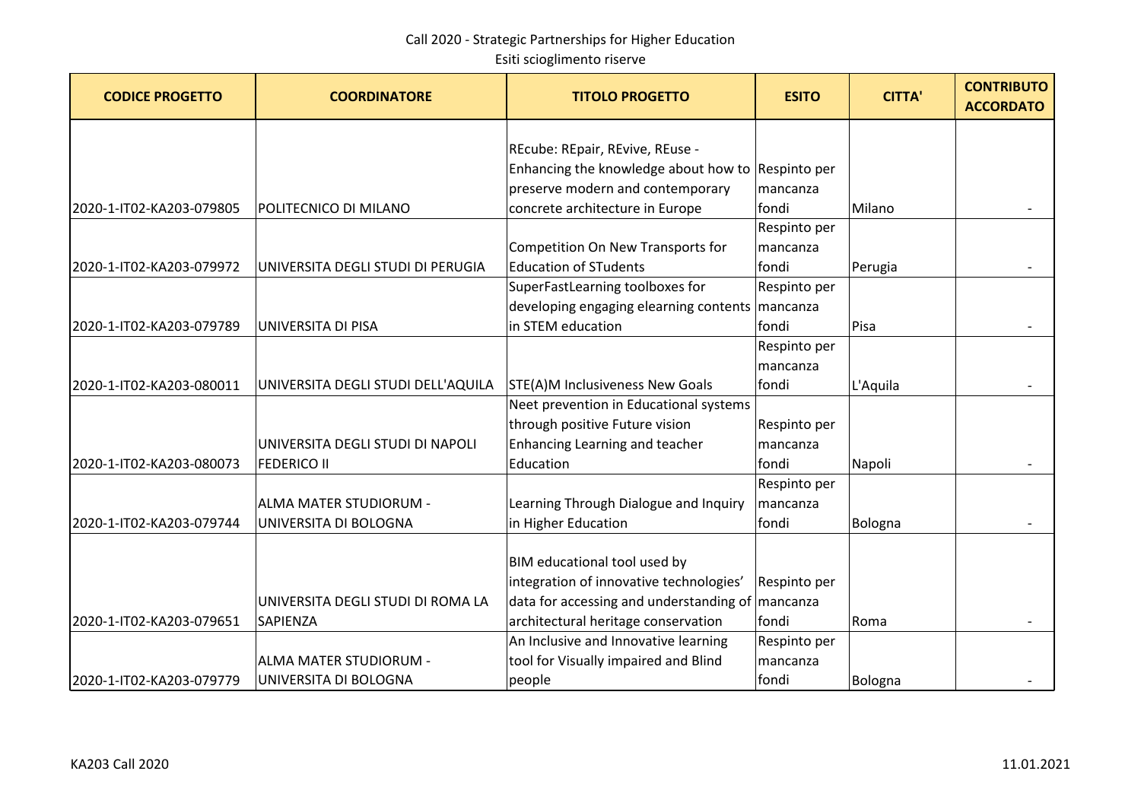| <b>CODICE PROGETTO</b>   | <b>COORDINATORE</b>                | <b>TITOLO PROGETTO</b>                               | <b>ESITO</b> | <b>CITTA'</b> | <b>CONTRIBUTO</b><br><b>ACCORDATO</b> |
|--------------------------|------------------------------------|------------------------------------------------------|--------------|---------------|---------------------------------------|
|                          |                                    |                                                      |              |               |                                       |
|                          |                                    | REcube: REpair, REvive, REuse -                      |              |               |                                       |
|                          |                                    | Enhancing the knowledge about how to Respinto per    |              |               |                                       |
|                          |                                    | preserve modern and contemporary                     | mancanza     |               |                                       |
| 2020-1-IT02-KA203-079805 | POLITECNICO DI MILANO              | concrete architecture in Europe                      | fondi        | Milano        |                                       |
|                          |                                    |                                                      | Respinto per |               |                                       |
|                          |                                    | Competition On New Transports for                    | mancanza     |               |                                       |
| 2020-1-IT02-KA203-079972 | UNIVERSITA DEGLI STUDI DI PERUGIA  | <b>Education of STudents</b>                         | fondi        | Perugia       |                                       |
|                          |                                    | SuperFastLearning toolboxes for                      | Respinto per |               |                                       |
|                          |                                    | developing engaging elearning contents               | mancanza     |               |                                       |
| 2020-1-IT02-KA203-079789 | UNIVERSITA DI PISA                 | in STEM education                                    | fondi        | Pisa          |                                       |
|                          |                                    |                                                      | Respinto per |               |                                       |
|                          |                                    |                                                      | mancanza     |               |                                       |
| 2020-1-IT02-KA203-080011 | UNIVERSITA DEGLI STUDI DELL'AQUILA | <b>STE(A)M Inclusiveness New Goals</b>               | fondi        | L'Aquila      |                                       |
|                          |                                    | Neet prevention in Educational systems               |              |               |                                       |
|                          |                                    | through positive Future vision                       | Respinto per |               |                                       |
|                          | UNIVERSITA DEGLI STUDI DI NAPOLI   | Enhancing Learning and teacher                       | mancanza     |               |                                       |
| 2020-1-IT02-KA203-080073 | <b>FEDERICO II</b>                 | Education                                            | fondi        | Napoli        |                                       |
|                          |                                    |                                                      | Respinto per |               |                                       |
|                          | ALMA MATER STUDIORUM -             | Learning Through Dialogue and Inquiry                | mancanza     |               |                                       |
| 2020-1-IT02-KA203-079744 | UNIVERSITA DI BOLOGNA              | in Higher Education                                  | fondi        | Bologna       |                                       |
|                          |                                    |                                                      |              |               |                                       |
|                          |                                    | BIM educational tool used by                         |              |               |                                       |
|                          |                                    | integration of innovative technologies'              | Respinto per |               |                                       |
|                          | UNIVERSITA DEGLI STUDI DI ROMA LA  | data for accessing and understanding of $ $ mancanza |              |               |                                       |
| 2020-1-IT02-KA203-079651 | SAPIENZA                           | architectural heritage conservation                  | fondi        | Roma          |                                       |
|                          |                                    | An Inclusive and Innovative learning                 | Respinto per |               |                                       |
|                          | ALMA MATER STUDIORUM -             | tool for Visually impaired and Blind                 | mancanza     |               |                                       |
| 2020-1-IT02-KA203-079779 | UNIVERSITA DI BOLOGNA              | people                                               | fondi        | Bologna       |                                       |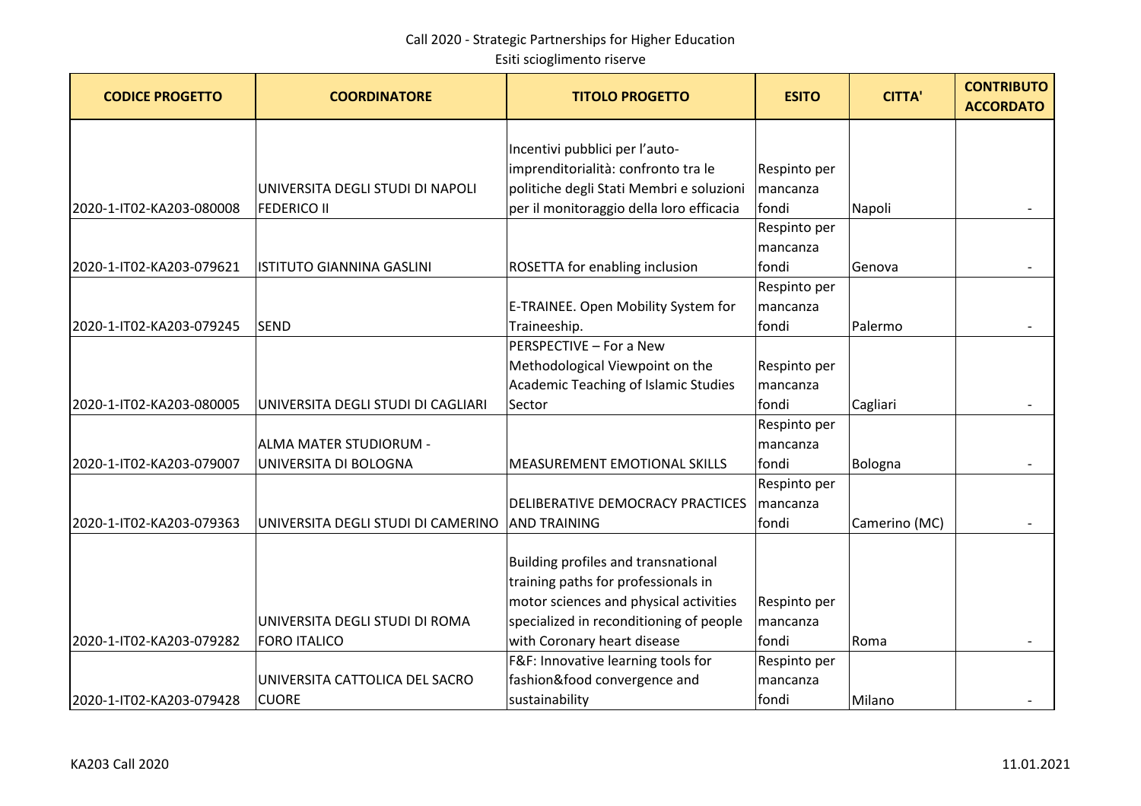| <b>CODICE PROGETTO</b>   | <b>COORDINATORE</b>                | <b>TITOLO PROGETTO</b>                   | <b>ESITO</b> | <b>CITTA'</b> | <b>CONTRIBUTO</b><br><b>ACCORDATO</b> |
|--------------------------|------------------------------------|------------------------------------------|--------------|---------------|---------------------------------------|
|                          |                                    |                                          |              |               |                                       |
|                          |                                    | Incentivi pubblici per l'auto-           |              |               |                                       |
|                          |                                    | imprenditorialità: confronto tra le      | Respinto per |               |                                       |
|                          | UNIVERSITA DEGLI STUDI DI NAPOLI   | politiche degli Stati Membri e soluzioni | mancanza     |               |                                       |
| 2020-1-IT02-KA203-080008 | <b>FEDERICO II</b>                 | per il monitoraggio della loro efficacia | fondi        | Napoli        |                                       |
|                          |                                    |                                          | Respinto per |               |                                       |
|                          |                                    |                                          | mancanza     |               |                                       |
| 2020-1-IT02-KA203-079621 | ISTITUTO GIANNINA GASLINI          | ROSETTA for enabling inclusion           | fondi        | Genova        |                                       |
|                          |                                    |                                          | Respinto per |               |                                       |
|                          |                                    | E-TRAINEE. Open Mobility System for      | mancanza     |               |                                       |
| 2020-1-IT02-KA203-079245 | <b>SEND</b>                        | Traineeship.                             | fondi        | Palermo       |                                       |
|                          |                                    | PERSPECTIVE - For a New                  |              |               |                                       |
|                          |                                    | Methodological Viewpoint on the          | Respinto per |               |                                       |
|                          |                                    | Academic Teaching of Islamic Studies     | mancanza     |               |                                       |
| 2020-1-IT02-KA203-080005 | UNIVERSITA DEGLI STUDI DI CAGLIARI | Sector                                   | fondi        | Cagliari      |                                       |
|                          |                                    |                                          | Respinto per |               |                                       |
|                          | ALMA MATER STUDIORUM -             |                                          | mancanza     |               |                                       |
| 2020-1-IT02-KA203-079007 | UNIVERSITA DI BOLOGNA              | MEASUREMENT EMOTIONAL SKILLS             | fondi        | Bologna       |                                       |
|                          |                                    |                                          | Respinto per |               |                                       |
|                          |                                    | DELIBERATIVE DEMOCRACY PRACTICES         | mancanza     |               |                                       |
| 2020-1-IT02-KA203-079363 | UNIVERSITA DEGLI STUDI DI CAMERINO | <b>AND TRAINING</b>                      | fondi        | Camerino (MC) |                                       |
|                          |                                    |                                          |              |               |                                       |
|                          |                                    | Building profiles and transnational      |              |               |                                       |
|                          |                                    | training paths for professionals in      |              |               |                                       |
|                          |                                    | motor sciences and physical activities   | Respinto per |               |                                       |
|                          | UNIVERSITA DEGLI STUDI DI ROMA     | specialized in reconditioning of people  | mancanza     |               |                                       |
| 2020-1-IT02-KA203-079282 | <b>FORO ITALICO</b>                | with Coronary heart disease              | fondi        | Roma          |                                       |
|                          |                                    | F&F: Innovative learning tools for       | Respinto per |               |                                       |
|                          | UNIVERSITA CATTOLICA DEL SACRO     | fashion&food convergence and             | mancanza     |               |                                       |
| 2020-1-IT02-KA203-079428 | <b>CUORE</b>                       | sustainability                           | fondi        | Milano        |                                       |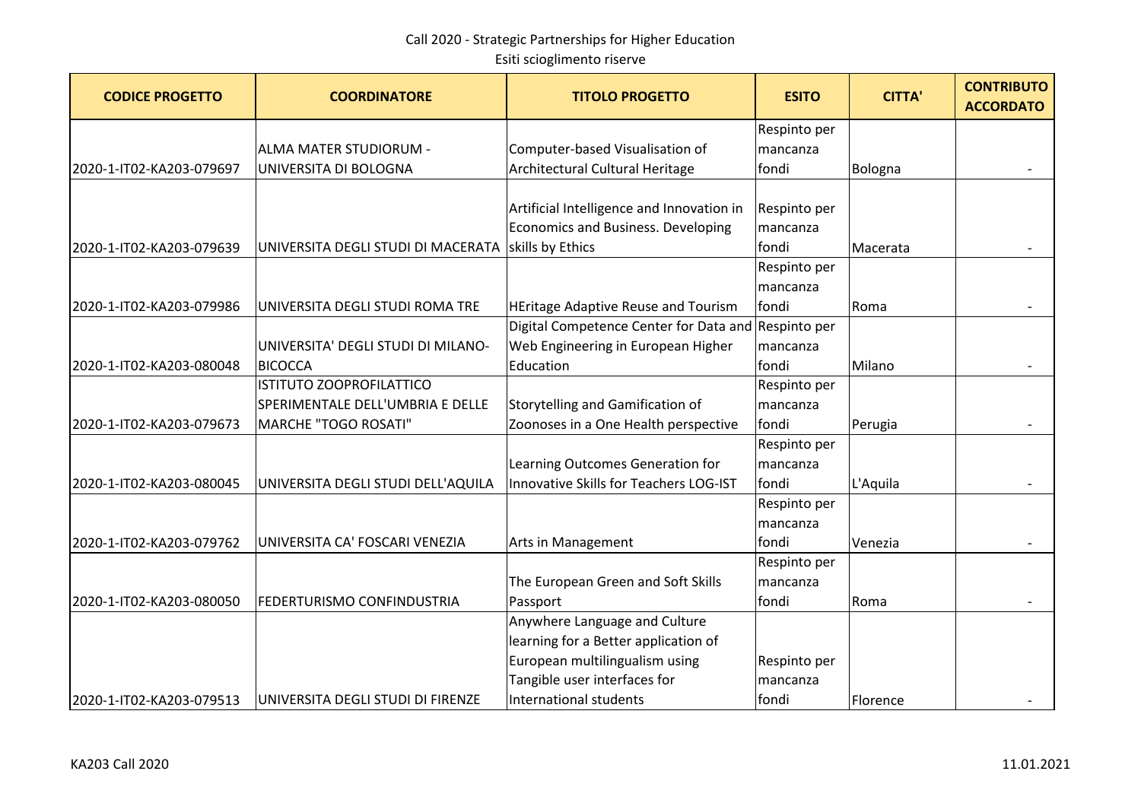| <b>CODICE PROGETTO</b>   | <b>COORDINATORE</b>                | <b>TITOLO PROGETTO</b>                     | <b>ESITO</b> | <b>CITTA'</b> | <b>CONTRIBUTO</b><br><b>ACCORDATO</b> |
|--------------------------|------------------------------------|--------------------------------------------|--------------|---------------|---------------------------------------|
|                          |                                    |                                            | Respinto per |               |                                       |
|                          | ALMA MATER STUDIORUM -             | Computer-based Visualisation of            | mancanza     |               |                                       |
| 2020-1-IT02-KA203-079697 | UNIVERSITA DI BOLOGNA              | Architectural Cultural Heritage            | fondi        | Bologna       |                                       |
|                          |                                    |                                            |              |               |                                       |
|                          |                                    | Artificial Intelligence and Innovation in  | Respinto per |               |                                       |
|                          |                                    | Economics and Business. Developing         | mancanza     |               |                                       |
| 2020-1-IT02-KA203-079639 | UNIVERSITA DEGLI STUDI DI MACERATA | skills by Ethics                           | fondi        | Macerata      |                                       |
|                          |                                    |                                            | Respinto per |               |                                       |
|                          |                                    |                                            | mancanza     |               |                                       |
| 2020-1-IT02-KA203-079986 | UNIVERSITA DEGLI STUDI ROMA TRE    | <b>HEritage Adaptive Reuse and Tourism</b> | fondi        | Roma          |                                       |
|                          |                                    | Digital Competence Center for Data and     | Respinto per |               |                                       |
|                          | UNIVERSITA' DEGLI STUDI DI MILANO- | Web Engineering in European Higher         | mancanza     |               |                                       |
| 2020-1-IT02-KA203-080048 | <b>BICOCCA</b>                     | Education                                  | fondi        | Milano        |                                       |
|                          | ISTITUTO ZOOPROFILATTICO           |                                            | Respinto per |               |                                       |
|                          | SPERIMENTALE DELL'UMBRIA E DELLE   | <b>Storytelling and Gamification of</b>    | mancanza     |               |                                       |
| 2020-1-IT02-KA203-079673 | <b>MARCHE "TOGO ROSATI"</b>        | Zoonoses in a One Health perspective       | fondi        | Perugia       | $\overline{\phantom{a}}$              |
|                          |                                    |                                            | Respinto per |               |                                       |
|                          |                                    | Learning Outcomes Generation for           | mancanza     |               |                                       |
| 2020-1-IT02-KA203-080045 | UNIVERSITA DEGLI STUDI DELL'AQUILA | Innovative Skills for Teachers LOG-IST     | fondi        | L'Aquila      | $\overline{\phantom{a}}$              |
|                          |                                    |                                            | Respinto per |               |                                       |
|                          |                                    |                                            | mancanza     |               |                                       |
| 2020-1-IT02-KA203-079762 | UNIVERSITA CA' FOSCARI VENEZIA     | Arts in Management                         | fondi        | Venezia       |                                       |
|                          |                                    |                                            | Respinto per |               |                                       |
|                          |                                    | The European Green and Soft Skills         | mancanza     |               |                                       |
| 2020-1-IT02-KA203-080050 | FEDERTURISMO CONFINDUSTRIA         | Passport                                   | fondi        | Roma          |                                       |
|                          |                                    | Anywhere Language and Culture              |              |               |                                       |
|                          |                                    | learning for a Better application of       |              |               |                                       |
|                          |                                    | European multilingualism using             | Respinto per |               |                                       |
|                          |                                    | Tangible user interfaces for               | mancanza     |               |                                       |
| 2020-1-IT02-KA203-079513 | UNIVERSITA DEGLI STUDI DI FIRENZE  | International students                     | fondi        | Florence      |                                       |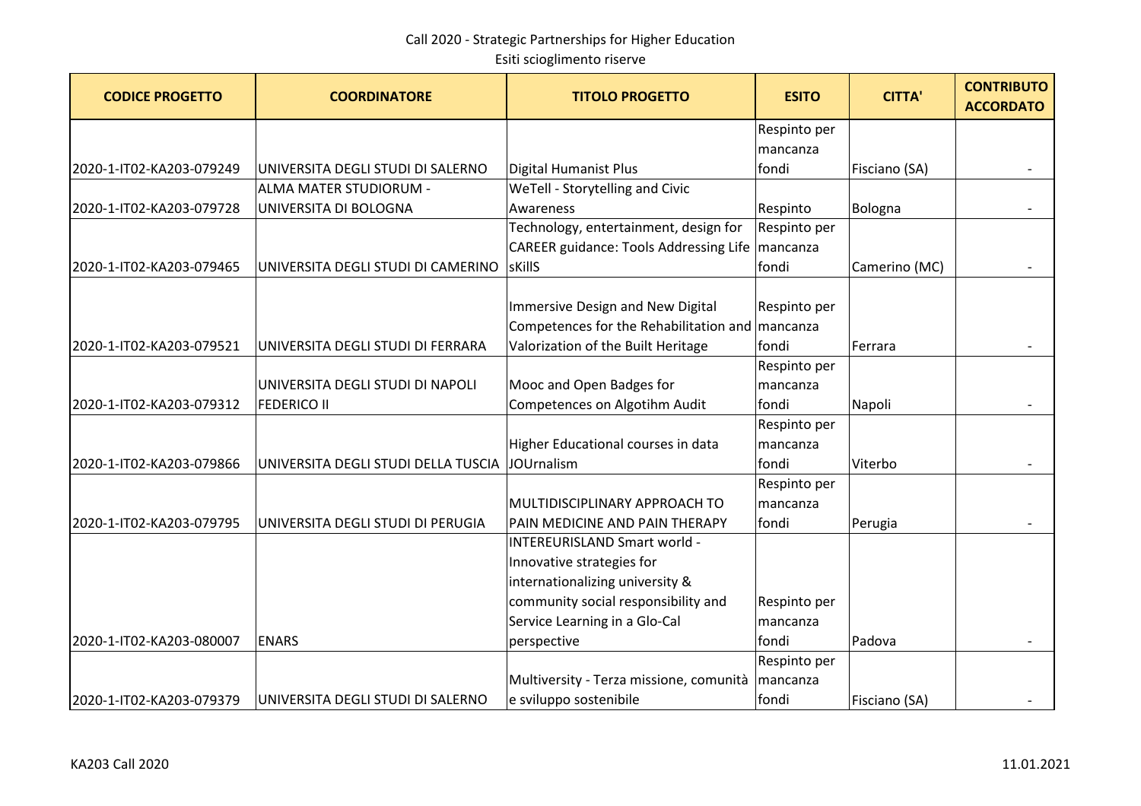| <b>CODICE PROGETTO</b>   | <b>COORDINATORE</b>                 | <b>TITOLO PROGETTO</b>                                                            | <b>ESITO</b>             | <b>CITTA'</b> | <b>CONTRIBUTO</b><br><b>ACCORDATO</b> |
|--------------------------|-------------------------------------|-----------------------------------------------------------------------------------|--------------------------|---------------|---------------------------------------|
|                          |                                     |                                                                                   | Respinto per             |               |                                       |
|                          |                                     |                                                                                   | mancanza                 |               |                                       |
| 2020-1-IT02-KA203-079249 | UNIVERSITA DEGLI STUDI DI SALERNO   | <b>Digital Humanist Plus</b>                                                      | fondi                    | Fisciano (SA) | $\overline{\phantom{a}}$              |
|                          | ALMA MATER STUDIORUM -              | WeTell - Storytelling and Civic                                                   |                          |               |                                       |
| 2020-1-IT02-KA203-079728 | UNIVERSITA DI BOLOGNA               | Awareness                                                                         | Respinto                 | Bologna       |                                       |
|                          |                                     | Technology, entertainment, design for                                             | Respinto per             |               |                                       |
|                          |                                     | <b>CAREER guidance: Tools Addressing Life</b>                                     | mancanza                 |               |                                       |
| 2020-1-IT02-KA203-079465 | UNIVERSITA DEGLI STUDI DI CAMERINO  | skillS                                                                            | fondi                    | Camerino (MC) |                                       |
|                          |                                     | <b>Immersive Design and New Digital</b><br>Competences for the Rehabilitation and | Respinto per<br>mancanza |               |                                       |
| 2020-1-IT02-KA203-079521 | UNIVERSITA DEGLI STUDI DI FERRARA   | Valorization of the Built Heritage                                                | fondi                    | Ferrara       |                                       |
|                          |                                     |                                                                                   | Respinto per             |               |                                       |
|                          | UNIVERSITA DEGLI STUDI DI NAPOLI    | Mooc and Open Badges for                                                          | mancanza                 |               |                                       |
| 2020-1-IT02-KA203-079312 | <b>FEDERICO II</b>                  | Competences on Algotihm Audit                                                     | fondi                    | Napoli        |                                       |
|                          |                                     |                                                                                   | Respinto per             |               |                                       |
|                          |                                     | Higher Educational courses in data                                                | mancanza                 |               |                                       |
| 2020-1-IT02-KA203-079866 | UNIVERSITA DEGLI STUDI DELLA TUSCIA | <b>JOUrnalism</b>                                                                 | fondi                    | Viterbo       |                                       |
|                          |                                     |                                                                                   | Respinto per             |               |                                       |
|                          |                                     | MULTIDISCIPLINARY APPROACH TO                                                     | mancanza                 |               |                                       |
| 2020-1-IT02-KA203-079795 | UNIVERSITA DEGLI STUDI DI PERUGIA   | PAIN MEDICINE AND PAIN THERAPY                                                    | fondi                    | Perugia       |                                       |
|                          |                                     | <b>INTEREURISLAND Smart world -</b>                                               |                          |               |                                       |
|                          |                                     | Innovative strategies for                                                         |                          |               |                                       |
|                          |                                     | internationalizing university &                                                   |                          |               |                                       |
|                          |                                     | community social responsibility and                                               | Respinto per             |               |                                       |
|                          |                                     | Service Learning in a Glo-Cal                                                     | mancanza                 |               |                                       |
| 2020-1-IT02-KA203-080007 | <b>ENARS</b>                        | perspective                                                                       | fondi                    | Padova        |                                       |
|                          |                                     |                                                                                   | Respinto per             |               |                                       |
|                          |                                     | Multiversity - Terza missione, comunità                                           | mancanza                 |               |                                       |
| 2020-1-IT02-KA203-079379 | UNIVERSITA DEGLI STUDI DI SALERNO   | e sviluppo sostenibile                                                            | fondi                    | Fisciano (SA) |                                       |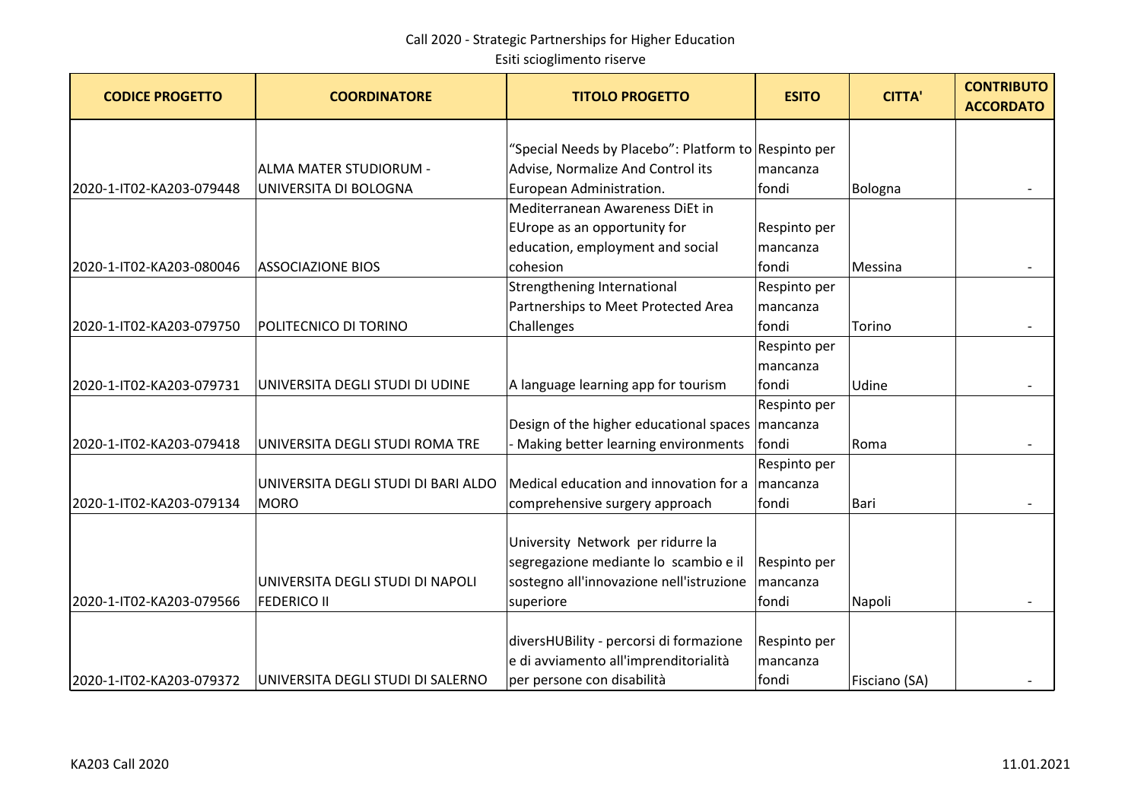| <b>CODICE PROGETTO</b>   | <b>COORDINATORE</b>                 | <b>TITOLO PROGETTO</b>                               | <b>ESITO</b> | <b>CITTA'</b> | <b>CONTRIBUTO</b><br><b>ACCORDATO</b> |
|--------------------------|-------------------------------------|------------------------------------------------------|--------------|---------------|---------------------------------------|
|                          |                                     |                                                      |              |               |                                       |
|                          |                                     | "Special Needs by Placebo": Platform to Respinto per |              |               |                                       |
|                          | ALMA MATER STUDIORUM -              | Advise, Normalize And Control its                    | mancanza     |               |                                       |
| 2020-1-IT02-KA203-079448 | UNIVERSITA DI BOLOGNA               | European Administration.                             | fondi        | Bologna       |                                       |
|                          |                                     | Mediterranean Awareness DiEt in                      |              |               |                                       |
|                          |                                     | EUrope as an opportunity for                         | Respinto per |               |                                       |
|                          |                                     | education, employment and social                     | mancanza     |               |                                       |
| 2020-1-IT02-KA203-080046 | <b>ASSOCIAZIONE BIOS</b>            | cohesion                                             | fondi        | Messina       |                                       |
|                          |                                     | Strengthening International                          | Respinto per |               |                                       |
|                          |                                     | Partnerships to Meet Protected Area                  | mancanza     |               |                                       |
| 2020-1-IT02-KA203-079750 | POLITECNICO DI TORINO               | Challenges                                           | fondi        | Torino        |                                       |
|                          |                                     |                                                      | Respinto per |               |                                       |
|                          |                                     |                                                      | mancanza     |               |                                       |
| 2020-1-IT02-KA203-079731 | UNIVERSITA DEGLI STUDI DI UDINE     | A language learning app for tourism                  | fondi        | Udine         |                                       |
|                          |                                     |                                                      | Respinto per |               |                                       |
|                          |                                     | Design of the higher educational spaces   mancanza   |              |               |                                       |
| 2020-1-IT02-KA203-079418 | UNIVERSITA DEGLI STUDI ROMA TRE     | - Making better learning environments                | fondi        | Roma          |                                       |
|                          |                                     |                                                      | Respinto per |               |                                       |
|                          | UNIVERSITA DEGLI STUDI DI BARI ALDO | Medical education and innovation for a               | mancanza     |               |                                       |
| 2020-1-IT02-KA203-079134 | <b>MORO</b>                         | comprehensive surgery approach                       | fondi        | Bari          |                                       |
|                          |                                     |                                                      |              |               |                                       |
|                          |                                     | University Network per ridurre la                    |              |               |                                       |
|                          |                                     | segregazione mediante lo scambio e il                | Respinto per |               |                                       |
|                          | UNIVERSITA DEGLI STUDI DI NAPOLI    | sostegno all'innovazione nell'istruzione             | mancanza     |               |                                       |
| 2020-1-IT02-KA203-079566 | <b>FEDERICO II</b>                  | superiore                                            | fondi        | Napoli        |                                       |
|                          |                                     |                                                      |              |               |                                       |
|                          |                                     | diversHUBility - percorsi di formazione              | Respinto per |               |                                       |
|                          |                                     | e di avviamento all'imprenditorialità                | mancanza     |               |                                       |
| 2020-1-IT02-KA203-079372 | UNIVERSITA DEGLI STUDI DI SALERNO   | per persone con disabilità                           | fondi        | Fisciano (SA) |                                       |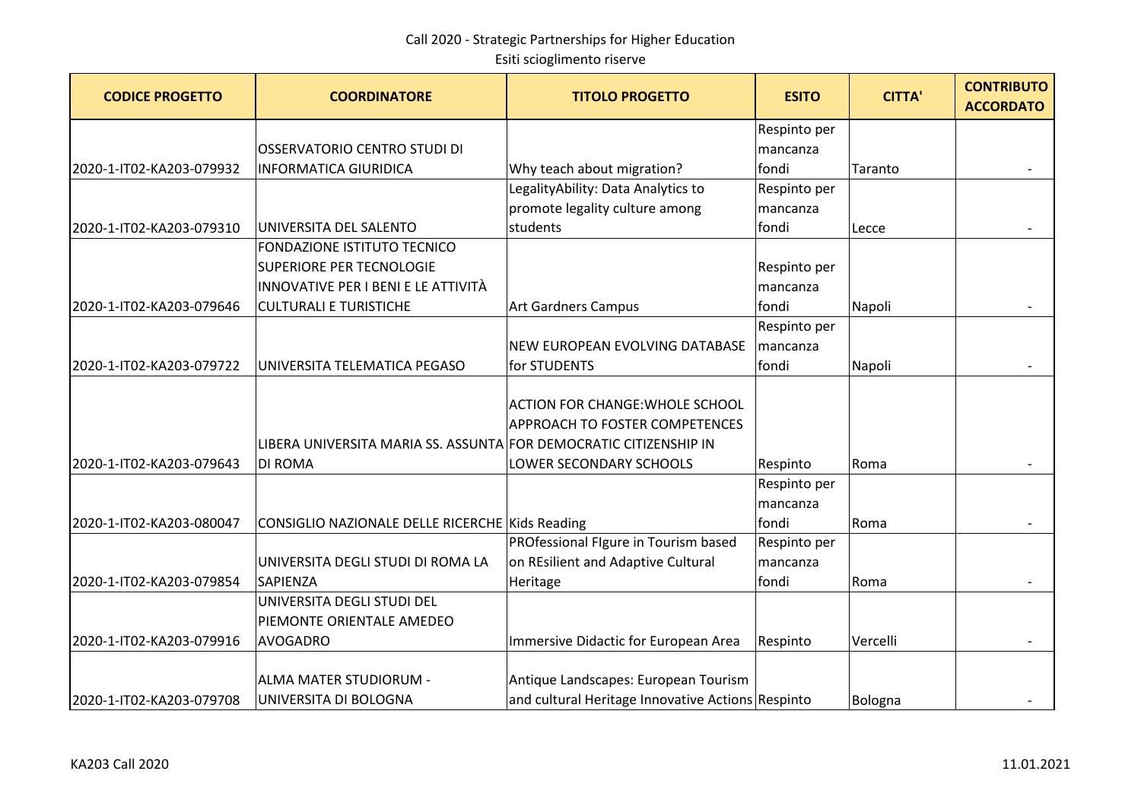| <b>CODICE PROGETTO</b>   | <b>COORDINATORE</b>                                               | <b>TITOLO PROGETTO</b>                                                                    | <b>ESITO</b>                      | <b>CITTA'</b> | <b>CONTRIBUTO</b><br><b>ACCORDATO</b> |
|--------------------------|-------------------------------------------------------------------|-------------------------------------------------------------------------------------------|-----------------------------------|---------------|---------------------------------------|
|                          |                                                                   |                                                                                           | Respinto per                      |               |                                       |
|                          | <b>OSSERVATORIO CENTRO STUDI DI</b>                               |                                                                                           | mancanza                          |               |                                       |
| 2020-1-IT02-KA203-079932 | <b>INFORMATICA GIURIDICA</b>                                      | Why teach about migration?                                                                | fondi                             | Taranto       |                                       |
|                          |                                                                   | Legality Ability: Data Analytics to                                                       | Respinto per                      |               |                                       |
|                          |                                                                   | promote legality culture among                                                            | mancanza                          |               |                                       |
| 2020-1-IT02-KA203-079310 | UNIVERSITA DEL SALENTO                                            | students                                                                                  | fondi                             | Lecce         |                                       |
|                          | <b>FONDAZIONE ISTITUTO TECNICO</b>                                |                                                                                           |                                   |               |                                       |
|                          | <b>SUPERIORE PER TECNOLOGIE</b>                                   |                                                                                           | Respinto per                      |               |                                       |
|                          | INNOVATIVE PER I BENI E LE ATTIVITÀ                               |                                                                                           | mancanza                          |               |                                       |
| 2020-1-IT02-KA203-079646 | <b>CULTURALI E TURISTICHE</b>                                     | <b>Art Gardners Campus</b>                                                                | fondi                             | Napoli        | $\overline{\phantom{a}}$              |
|                          |                                                                   |                                                                                           | Respinto per                      |               |                                       |
|                          |                                                                   | NEW EUROPEAN EVOLVING DATABASE                                                            | mancanza                          |               |                                       |
| 2020-1-IT02-KA203-079722 | UNIVERSITA TELEMATICA PEGASO                                      | for STUDENTS                                                                              | fondi                             | Napoli        |                                       |
|                          | LIBERA UNIVERSITA MARIA SS. ASSUNTA FOR DEMOCRATIC CITIZENSHIP IN | <b>ACTION FOR CHANGE: WHOLE SCHOOL</b><br>APPROACH TO FOSTER COMPETENCES                  |                                   |               |                                       |
| 2020-1-IT02-KA203-079643 | <b>DI ROMA</b>                                                    | LOWER SECONDARY SCHOOLS                                                                   | Respinto                          | Roma          |                                       |
| 2020-1-IT02-KA203-080047 | CONSIGLIO NAZIONALE DELLE RICERCHE Kids Reading                   |                                                                                           | Respinto per<br>mancanza<br>fondi | Roma          |                                       |
|                          |                                                                   | PROfessional Figure in Tourism based                                                      | Respinto per                      |               |                                       |
|                          | UNIVERSITA DEGLI STUDI DI ROMA LA                                 | on REsilient and Adaptive Cultural                                                        | mancanza                          |               |                                       |
| 2020-1-IT02-KA203-079854 | SAPIENZA                                                          | Heritage                                                                                  | fondi                             | Roma          |                                       |
|                          | UNIVERSITA DEGLI STUDI DEL<br>PIEMONTE ORIENTALE AMEDEO           |                                                                                           |                                   |               |                                       |
| 2020-1-IT02-KA203-079916 | AVOGADRO                                                          | Immersive Didactic for European Area                                                      | Respinto                          | Vercelli      |                                       |
| 2020-1-IT02-KA203-079708 | ALMA MATER STUDIORUM -<br>UNIVERSITA DI BOLOGNA                   | Antique Landscapes: European Tourism<br>and cultural Heritage Innovative Actions Respinto |                                   | Bologna       |                                       |